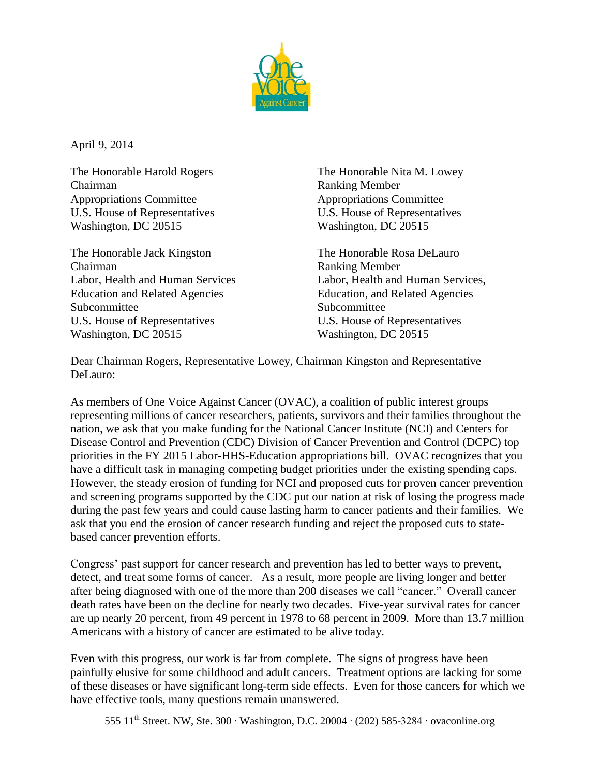

April 9, 2014

The Honorable Harold Rogers The Honorable Nita M. Lowey Chairman Ranking Member Appropriations Committee Appropriations Committee U.S. House of Representatives U.S. House of Representatives Washington, DC 20515 Washington, DC 20515

The Honorable Jack Kingston The Honorable Rosa DeLauro Chairman Ranking Member Education and Related Agencies Education, and Related Agencies Subcommittee Subcommittee U.S. House of Representatives U.S. House of Representatives Washington, DC 20515 Washington, DC 20515

Labor, Health and Human Services Labor, Health and Human Services,

Dear Chairman Rogers, Representative Lowey, Chairman Kingston and Representative DeLauro:

As members of One Voice Against Cancer (OVAC), a coalition of public interest groups representing millions of cancer researchers, patients, survivors and their families throughout the nation, we ask that you make funding for the National Cancer Institute (NCI) and Centers for Disease Control and Prevention (CDC) Division of Cancer Prevention and Control (DCPC) top priorities in the FY 2015 Labor-HHS-Education appropriations bill. OVAC recognizes that you have a difficult task in managing competing budget priorities under the existing spending caps. However, the steady erosion of funding for NCI and proposed cuts for proven cancer prevention and screening programs supported by the CDC put our nation at risk of losing the progress made during the past few years and could cause lasting harm to cancer patients and their families. We ask that you end the erosion of cancer research funding and reject the proposed cuts to statebased cancer prevention efforts.

Congress' past support for cancer research and prevention has led to better ways to prevent, detect, and treat some forms of cancer. As a result, more people are living longer and better after being diagnosed with one of the more than 200 diseases we call "cancer." Overall cancer death rates have been on the decline for nearly two decades. Five-year survival rates for cancer are up nearly 20 percent, from 49 percent in 1978 to 68 percent in 2009. More than 13.7 million Americans with a history of cancer are estimated to be alive today.

Even with this progress, our work is far from complete. The signs of progress have been painfully elusive for some childhood and adult cancers. Treatment options are lacking for some of these diseases or have significant long-term side effects. Even for those cancers for which we have effective tools, many questions remain unanswered.

555 11th Street. NW, Ste. 300 ∙ Washington, D.C. 20004 ∙ (202) 585-3284 ∙ ovaconline.org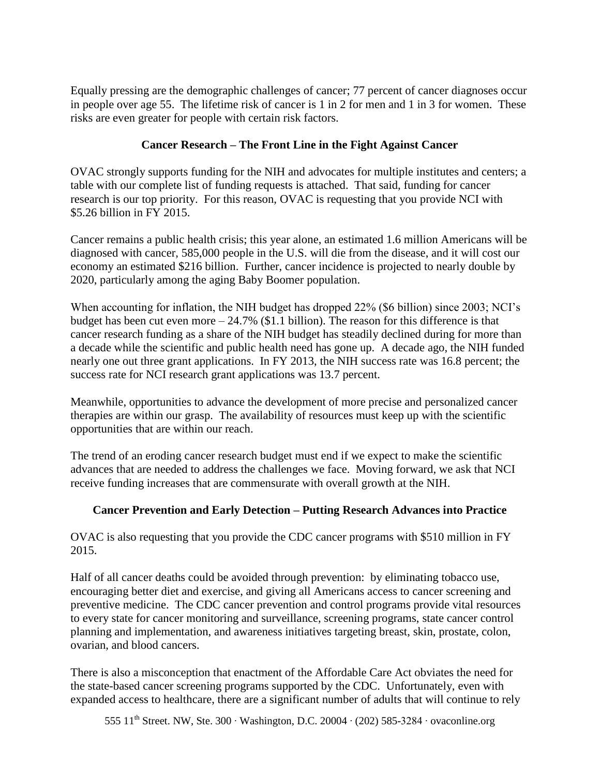Equally pressing are the demographic challenges of cancer; 77 percent of cancer diagnoses occur in people over age 55. The lifetime risk of cancer is 1 in 2 for men and 1 in 3 for women. These risks are even greater for people with certain risk factors.

## **Cancer Research – The Front Line in the Fight Against Cancer**

OVAC strongly supports funding for the NIH and advocates for multiple institutes and centers; a table with our complete list of funding requests is attached. That said, funding for cancer research is our top priority. For this reason, OVAC is requesting that you provide NCI with \$5.26 billion in FY 2015.

Cancer remains a public health crisis; this year alone, an estimated 1.6 million Americans will be diagnosed with cancer, 585,000 people in the U.S. will die from the disease, and it will cost our economy an estimated \$216 billion. Further, cancer incidence is projected to nearly double by 2020, particularly among the aging Baby Boomer population.

When accounting for inflation, the NIH budget has dropped  $22\%$  (\$6 billion) since 2003; NCI's budget has been cut even more  $-24.7\%$  (\$1.1 billion). The reason for this difference is that cancer research funding as a share of the NIH budget has steadily declined during for more than a decade while the scientific and public health need has gone up. A decade ago, the NIH funded nearly one out three grant applications. In FY 2013, the NIH success rate was 16.8 percent; the success rate for NCI research grant applications was 13.7 percent.

Meanwhile, opportunities to advance the development of more precise and personalized cancer therapies are within our grasp. The availability of resources must keep up with the scientific opportunities that are within our reach.

The trend of an eroding cancer research budget must end if we expect to make the scientific advances that are needed to address the challenges we face. Moving forward, we ask that NCI receive funding increases that are commensurate with overall growth at the NIH.

## **Cancer Prevention and Early Detection – Putting Research Advances into Practice**

OVAC is also requesting that you provide the CDC cancer programs with \$510 million in FY 2015.

Half of all cancer deaths could be avoided through prevention: by eliminating tobacco use, encouraging better diet and exercise, and giving all Americans access to cancer screening and preventive medicine. The CDC cancer prevention and control programs provide vital resources to every state for cancer monitoring and surveillance, screening programs, state cancer control planning and implementation, and awareness initiatives targeting breast, skin, prostate, colon, ovarian, and blood cancers.

There is also a misconception that enactment of the Affordable Care Act obviates the need for the state-based cancer screening programs supported by the CDC. Unfortunately, even with expanded access to healthcare, there are a significant number of adults that will continue to rely

555 11th Street. NW, Ste. 300 ∙ Washington, D.C. 20004 ∙ (202) 585-3284 ∙ ovaconline.org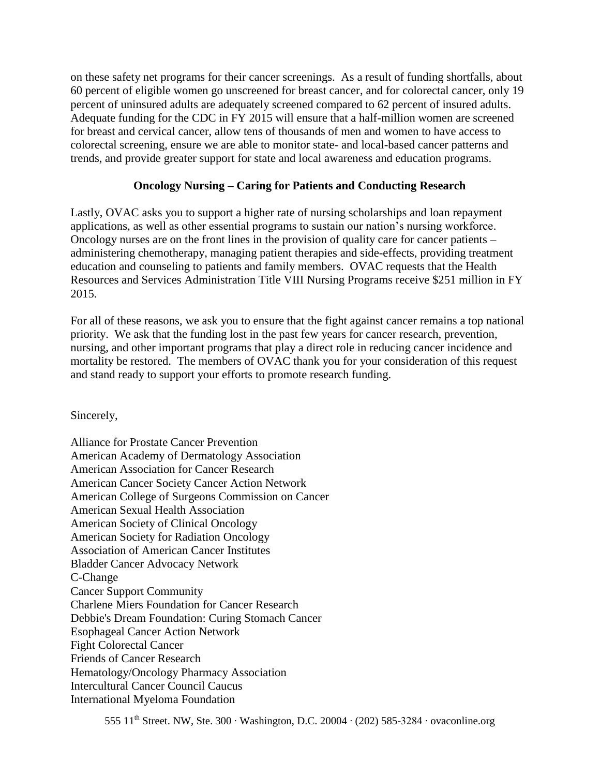on these safety net programs for their cancer screenings. As a result of funding shortfalls, about 60 percent of eligible women go unscreened for breast cancer, and for colorectal cancer, only 19 percent of uninsured adults are adequately screened compared to 62 percent of insured adults. Adequate funding for the CDC in FY 2015 will ensure that a half-million women are screened for breast and cervical cancer, allow tens of thousands of men and women to have access to colorectal screening, ensure we are able to monitor state- and local-based cancer patterns and trends, and provide greater support for state and local awareness and education programs.

## **Oncology Nursing – Caring for Patients and Conducting Research**

Lastly, OVAC asks you to support a higher rate of nursing scholarships and loan repayment applications, as well as other essential programs to sustain our nation's nursing workforce. Oncology nurses are on the front lines in the provision of quality care for cancer patients – administering chemotherapy, managing patient therapies and side-effects, providing treatment education and counseling to patients and family members. OVAC requests that the Health Resources and Services Administration Title VIII Nursing Programs receive \$251 million in FY 2015.

For all of these reasons, we ask you to ensure that the fight against cancer remains a top national priority. We ask that the funding lost in the past few years for cancer research, prevention, nursing, and other important programs that play a direct role in reducing cancer incidence and mortality be restored. The members of OVAC thank you for your consideration of this request and stand ready to support your efforts to promote research funding.

Sincerely,

Alliance for Prostate Cancer Prevention American Academy of Dermatology Association American Association for Cancer Research American Cancer Society Cancer Action Network American College of Surgeons Commission on Cancer American Sexual Health Association American Society of Clinical Oncology American Society for Radiation Oncology Association of American Cancer Institutes Bladder Cancer Advocacy Network C-Change Cancer Support Community Charlene Miers Foundation for Cancer Research Debbie's Dream Foundation: Curing Stomach Cancer Esophageal Cancer Action Network Fight Colorectal Cancer Friends of Cancer Research Hematology/Oncology Pharmacy Association Intercultural Cancer Council Caucus International Myeloma Foundation

555 11th Street. NW, Ste. 300 ∙ Washington, D.C. 20004 ∙ (202) 585-3284 ∙ ovaconline.org